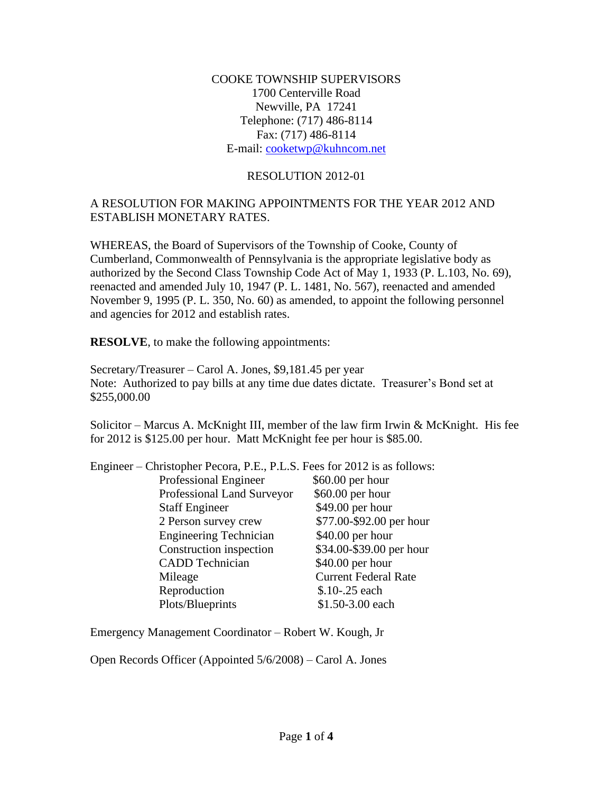COOKE TOWNSHIP SUPERVISORS 1700 Centerville Road Newville, PA 17241 Telephone: (717) 486-8114 Fax: (717) 486-8114 E-mail: [cooketwp@kuhncom.net](mailto:cooketwp@kuhncom.net)

### RESOLUTION 2012-01

#### A RESOLUTION FOR MAKING APPOINTMENTS FOR THE YEAR 2012 AND ESTABLISH MONETARY RATES.

WHEREAS, the Board of Supervisors of the Township of Cooke, County of Cumberland, Commonwealth of Pennsylvania is the appropriate legislative body as authorized by the Second Class Township Code Act of May 1, 1933 (P. L.103, No. 69), reenacted and amended July 10, 1947 (P. L. 1481, No. 567), reenacted and amended November 9, 1995 (P. L. 350, No. 60) as amended, to appoint the following personnel and agencies for 2012 and establish rates.

**RESOLVE**, to make the following appointments:

Secretary/Treasurer – Carol A. Jones, \$9,181.45 per year Note: Authorized to pay bills at any time due dates dictate. Treasurer's Bond set at \$255,000.00

Solicitor – Marcus A. McKnight III, member of the law firm Irwin & McKnight. His fee for 2012 is \$125.00 per hour. Matt McKnight fee per hour is \$85.00.

| Engineer – Christopher Pecora, P.E., P.L.S. Fees for 2012 is as follows: |                             |
|--------------------------------------------------------------------------|-----------------------------|
| Professional Engineer                                                    | $$60.00$ per hour           |
| Professional Land Surveyor                                               | \$60.00 per hour            |
| <b>Staff Engineer</b>                                                    | \$49.00 per hour            |
| 2 Person survey crew                                                     | \$77.00-\$92.00 per hour    |
| <b>Engineering Technician</b>                                            | \$40.00 per hour            |
| Construction inspection                                                  | \$34.00-\$39.00 per hour    |
| <b>CADD</b> Technician                                                   | \$40.00 per hour            |
| Mileage                                                                  | <b>Current Federal Rate</b> |
| Reproduction                                                             | \$.10-.25 each              |
| Plots/Blueprints                                                         | \$1.50-3.00 each            |
|                                                                          |                             |

Emergency Management Coordinator – Robert W. Kough, Jr

Open Records Officer (Appointed 5/6/2008) – Carol A. Jones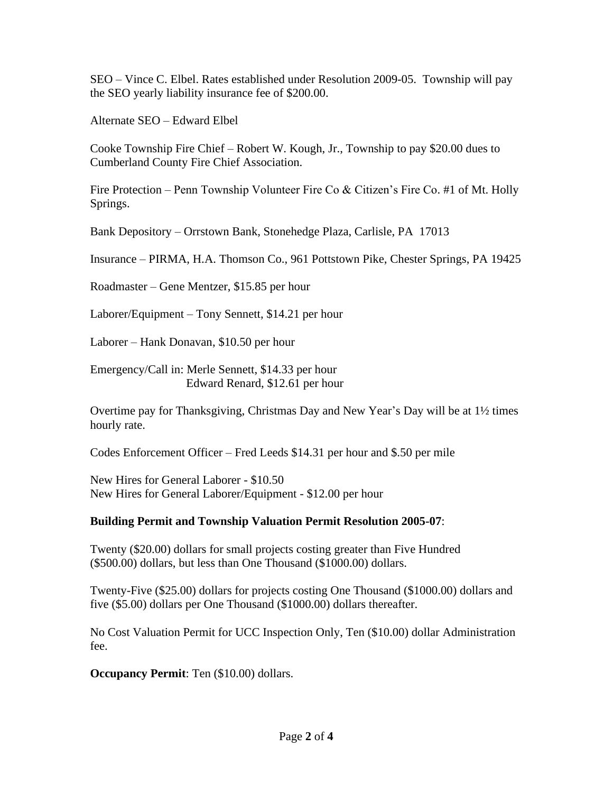SEO – Vince C. Elbel. Rates established under Resolution 2009-05. Township will pay the SEO yearly liability insurance fee of \$200.00.

Alternate SEO – Edward Elbel

Cooke Township Fire Chief – Robert W. Kough, Jr., Township to pay \$20.00 dues to Cumberland County Fire Chief Association.

Fire Protection – Penn Township Volunteer Fire Co & Citizen's Fire Co. #1 of Mt. Holly Springs.

Bank Depository – Orrstown Bank, Stonehedge Plaza, Carlisle, PA 17013

Insurance – PIRMA, H.A. Thomson Co., 961 Pottstown Pike, Chester Springs, PA 19425

Roadmaster – Gene Mentzer, \$15.85 per hour

Laborer/Equipment – Tony Sennett, \$14.21 per hour

Laborer – Hank Donavan, \$10.50 per hour

Emergency/Call in: Merle Sennett, \$14.33 per hour Edward Renard, \$12.61 per hour

Overtime pay for Thanksgiving, Christmas Day and New Year's Day will be at 1½ times hourly rate.

Codes Enforcement Officer – Fred Leeds \$14.31 per hour and \$.50 per mile

New Hires for General Laborer - \$10.50 New Hires for General Laborer/Equipment - \$12.00 per hour

## **Building Permit and Township Valuation Permit Resolution 2005-07**:

Twenty (\$20.00) dollars for small projects costing greater than Five Hundred (\$500.00) dollars, but less than One Thousand (\$1000.00) dollars.

Twenty-Five (\$25.00) dollars for projects costing One Thousand (\$1000.00) dollars and five (\$5.00) dollars per One Thousand (\$1000.00) dollars thereafter.

No Cost Valuation Permit for UCC Inspection Only, Ten (\$10.00) dollar Administration fee.

**Occupancy Permit**: Ten (\$10.00) dollars.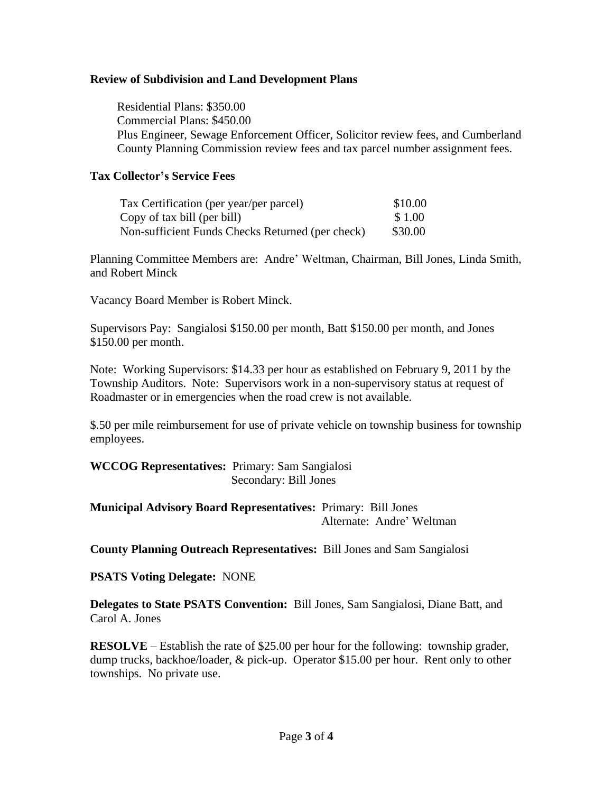### **Review of Subdivision and Land Development Plans**

 Residential Plans: \$350.00 Commercial Plans: \$450.00 Plus Engineer, Sewage Enforcement Officer, Solicitor review fees, and Cumberland County Planning Commission review fees and tax parcel number assignment fees.

#### **Tax Collector's Service Fees**

| Tax Certification (per year/per parcel)          | \$10.00 |
|--------------------------------------------------|---------|
| Copy of tax bill (per bill)                      | \$1.00  |
| Non-sufficient Funds Checks Returned (per check) | \$30.00 |

Planning Committee Members are: Andre' Weltman, Chairman, Bill Jones, Linda Smith, and Robert Minck

Vacancy Board Member is Robert Minck.

Supervisors Pay: Sangialosi \$150.00 per month, Batt \$150.00 per month, and Jones \$150.00 per month.

Note: Working Supervisors: \$14.33 per hour as established on February 9, 2011 by the Township Auditors. Note: Supervisors work in a non-supervisory status at request of Roadmaster or in emergencies when the road crew is not available.

\$.50 per mile reimbursement for use of private vehicle on township business for township employees.

**WCCOG Representatives:** Primary: Sam Sangialosi Secondary: Bill Jones

**Municipal Advisory Board Representatives:** Primary: Bill Jones Alternate: Andre' Weltman

**County Planning Outreach Representatives:** Bill Jones and Sam Sangialosi

**PSATS Voting Delegate:** NONE

**Delegates to State PSATS Convention:** Bill Jones, Sam Sangialosi, Diane Batt, and Carol A. Jones

**RESOLVE** – Establish the rate of \$25.00 per hour for the following: township grader, dump trucks, backhoe/loader, & pick-up. Operator \$15.00 per hour. Rent only to other townships. No private use.